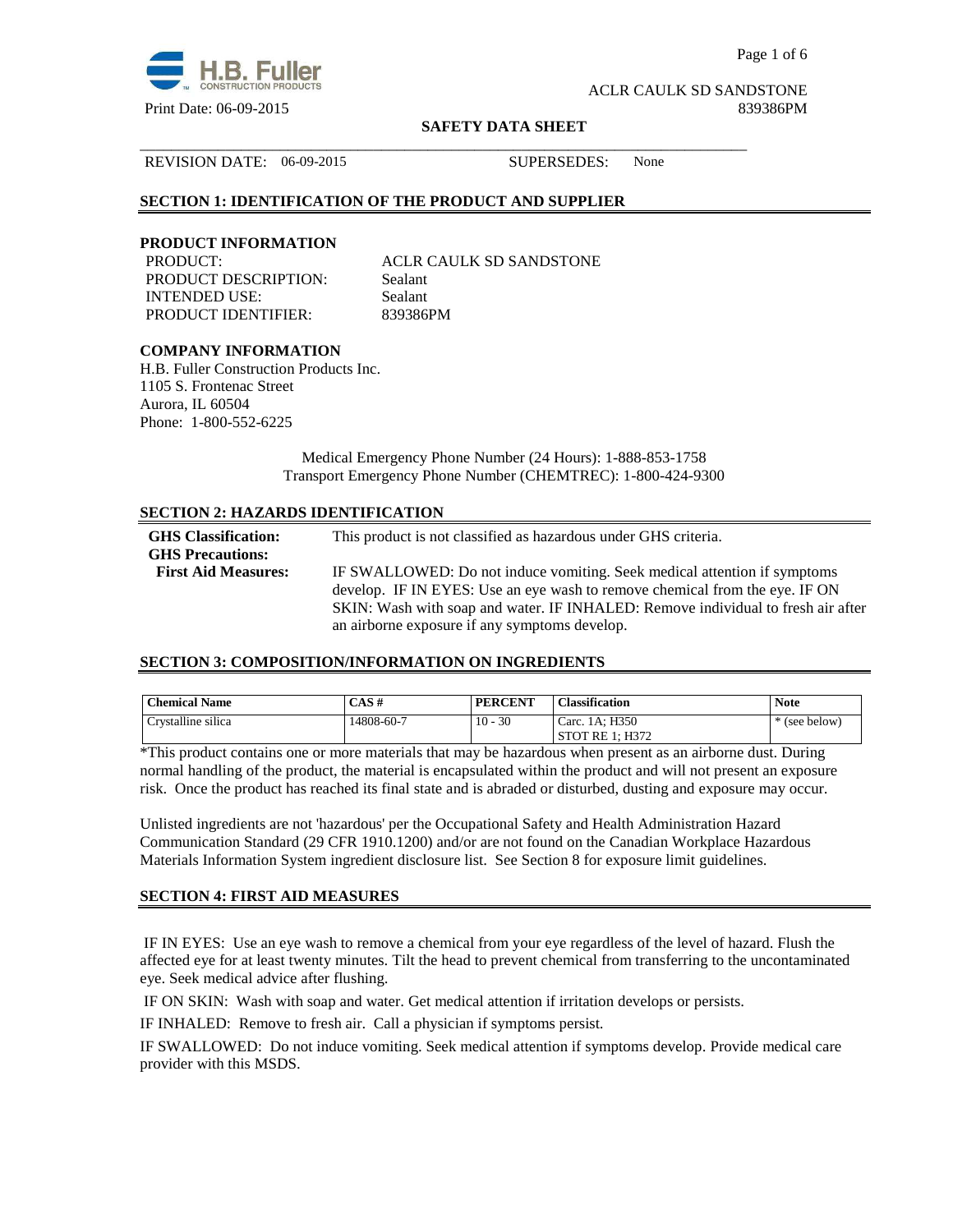

Page 1 of 6

ACLR CAULK SD SANDSTONE Print Date: 06-09-2015 839386PM

#### **SAFETY DATA SHEET**

\_\_\_\_\_\_\_\_\_\_\_\_\_\_\_\_\_\_\_\_\_\_\_\_\_\_\_\_\_\_\_\_\_\_\_\_\_\_\_\_\_\_\_\_\_\_\_\_\_\_\_\_\_\_\_\_\_\_\_\_\_\_\_\_\_\_\_\_\_\_\_\_\_\_\_\_\_\_

REVISION DATE: 06-09-2015 SUPERSEDES: None

# **SECTION 1: IDENTIFICATION OF THE PRODUCT AND SUPPLIER**

# **PRODUCT INFORMATION**

PRODUCT DESCRIPTION: Sealant INTENDED USE: Sealant PRODUCT IDENTIFIER: 839386PM

PRODUCT: ACLR CAULK SD SANDSTONE

# **COMPANY INFORMATION**

H.B. Fuller Construction Products Inc. 1105 S. Frontenac Street Aurora, IL 60504 Phone: 1-800-552-6225

> Medical Emergency Phone Number (24 Hours): 1-888-853-1758 Transport Emergency Phone Number (CHEMTREC): 1-800-424-9300

# **SECTION 2: HAZARDS IDENTIFICATION**

| <b>GHS</b> Classification:<br><b>GHS Precautions:</b> | This product is not classified as hazardous under GHS criteria.                                                                                         |
|-------------------------------------------------------|---------------------------------------------------------------------------------------------------------------------------------------------------------|
| <b>First Aid Measures:</b>                            | IF SWALLOWED: Do not induce vomiting. Seek medical attention if symptoms<br>develop. IF IN EYES: Use an eye wash to remove chemical from the eye. IF ON |
|                                                       | SKIN: Wash with soap and water. IF INHALED: Remove individual to fresh air after<br>an airborne exposure if any symptoms develop.                       |

# **SECTION 3: COMPOSITION/INFORMATION ON INGREDIENTS**

| <b>Chemical Name</b> | CAS#       | <b>PERCENT</b> | <b>Classification</b> | <b>Note</b> |
|----------------------|------------|----------------|-----------------------|-------------|
| Crystalline silica   | 14808-60-7 | $10 - 30$      | Carc. 1A: H350        | (see below) |
|                      |            |                | STOT RE 1: H372       |             |

\*This product contains one or more materials that may be hazardous when present as an airborne dust. During normal handling of the product, the material is encapsulated within the product and will not present an exposure risk. Once the product has reached its final state and is abraded or disturbed, dusting and exposure may occur.

Unlisted ingredients are not 'hazardous' per the Occupational Safety and Health Administration Hazard Communication Standard (29 CFR 1910.1200) and/or are not found on the Canadian Workplace Hazardous Materials Information System ingredient disclosure list. See Section 8 for exposure limit guidelines.

#### **SECTION 4: FIRST AID MEASURES**

 IF IN EYES: Use an eye wash to remove a chemical from your eye regardless of the level of hazard. Flush the affected eye for at least twenty minutes. Tilt the head to prevent chemical from transferring to the uncontaminated eye. Seek medical advice after flushing.

IF ON SKIN: Wash with soap and water. Get medical attention if irritation develops or persists.

IF INHALED: Remove to fresh air. Call a physician if symptoms persist.

IF SWALLOWED:Do not induce vomiting. Seek medical attention if symptoms develop. Provide medical care provider with this MSDS.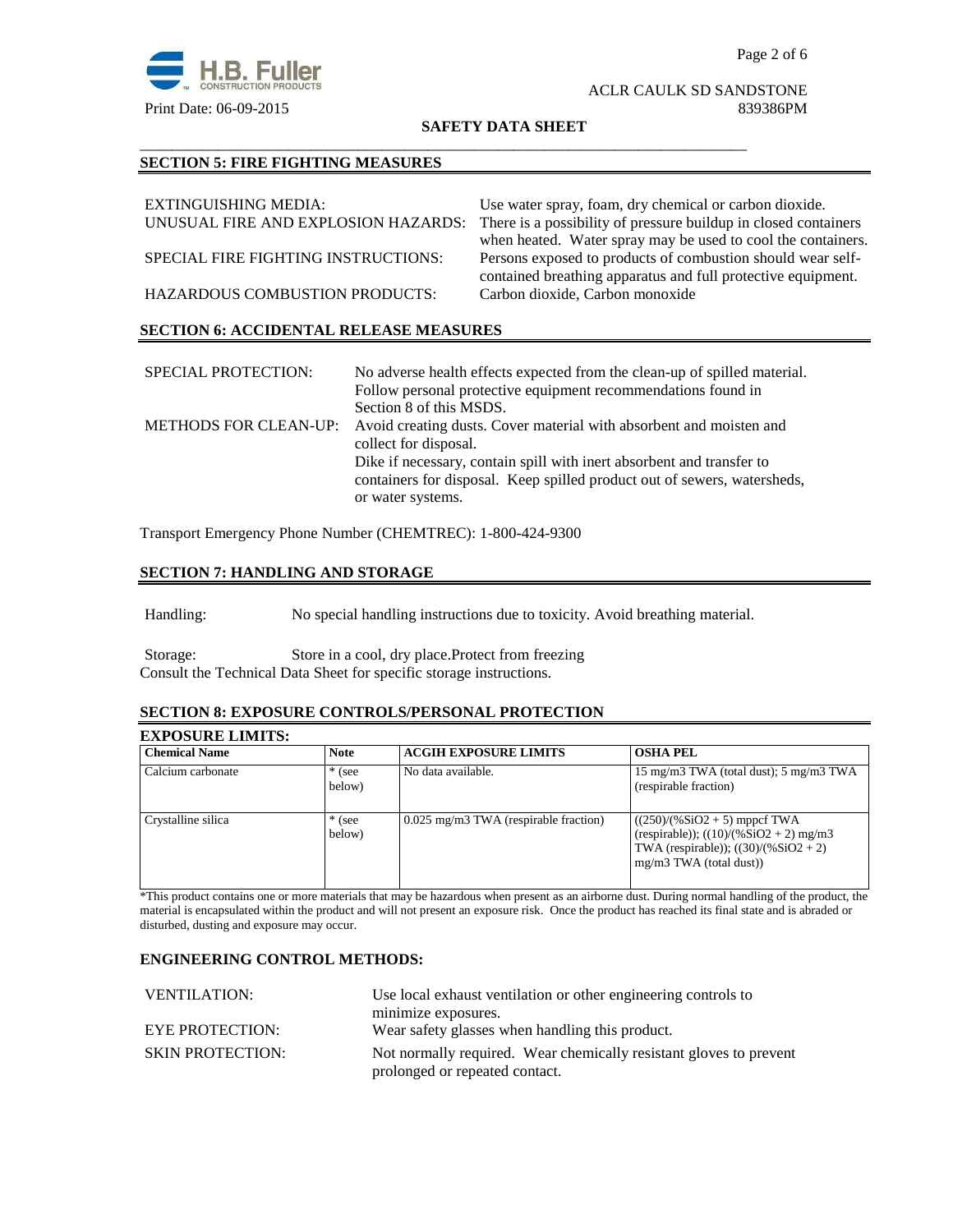

#### ACLR CAULK SD SANDSTONE Print Date: 06-09-2015 839386PM

**SAFETY DATA SHEET**

\_\_\_\_\_\_\_\_\_\_\_\_\_\_\_\_\_\_\_\_\_\_\_\_\_\_\_\_\_\_\_\_\_\_\_\_\_\_\_\_\_\_\_\_\_\_\_\_\_\_\_\_\_\_\_\_\_\_\_\_\_\_\_\_\_\_\_\_\_\_\_\_\_\_\_\_\_\_

# **SECTION 5: FIRE FIGHTING MEASURES**

| EXTINGUISHING MEDIA:                          | Use water spray, foam, dry chemical or carbon dioxide.          |
|-----------------------------------------------|-----------------------------------------------------------------|
| UNUSUAL FIRE AND EXPLOSION HAZARDS:           | There is a possibility of pressure buildup in closed containers |
|                                               | when heated. Water spray may be used to cool the containers.    |
| SPECIAL FIRE FIGHTING INSTRUCTIONS:           | Persons exposed to products of combustion should wear self-     |
|                                               | contained breathing apparatus and full protective equipment.    |
| <b>HAZARDOUS COMBUSTION PRODUCTS:</b>         | Carbon dioxide, Carbon monoxide                                 |
|                                               |                                                                 |
| <b>SECTION 6: ACCIDENTAL RELEASE MEASURES</b> |                                                                 |

| <b>SPECIAL PROTECTION:</b>   | No adverse health effects expected from the clean-up of spilled material.<br>Follow personal protective equipment recommendations found in<br>Section 8 of this MSDS.  |
|------------------------------|------------------------------------------------------------------------------------------------------------------------------------------------------------------------|
| <b>METHODS FOR CLEAN-UP:</b> | Avoid creating dusts. Cover material with absorbent and moisten and<br>collect for disposal.                                                                           |
|                              | Dike if necessary, contain spill with inert absorbent and transfer to<br>containers for disposal. Keep spilled product out of sewers, watersheds,<br>or water systems. |

Transport Emergency Phone Number (CHEMTREC): 1-800-424-9300

# **SECTION 7: HANDLING AND STORAGE**

Handling: No special handling instructions due to toxicity. Avoid breathing material.

Storage: Store in a cool, dry place.Protect from freezing Consult the Technical Data Sheet for specific storage instructions.

#### **SECTION 8: EXPOSURE CONTROLS/PERSONAL PROTECTION**

# **EXPOSURE LIMITS:**

| <b>Chemical Name</b> | <b>Note</b>        | <b>ACGIH EXPOSURE LIMITS</b>            | <b>OSHA PEL</b>                                                                                                                                    |
|----------------------|--------------------|-----------------------------------------|----------------------------------------------------------------------------------------------------------------------------------------------------|
| Calcium carbonate    | $*$ (see<br>below) | No data available.                      | 15 mg/m3 TWA (total dust); 5 mg/m3 TWA<br>(respirable fraction)                                                                                    |
| Crystalline silica   | $*$ (see<br>below) | $0.025$ mg/m3 TWA (respirable fraction) | $((250)/(%SiO2 + 5)$ mppcf TWA<br>(respirable)); $((10)/(%SiO2 + 2)$ mg/m3<br>TWA (respirable)); $((30)/(%SiO2 + 2))$<br>$mg/m3$ TWA (total dust)) |

\*This product contains one or more materials that may be hazardous when present as an airborne dust. During normal handling of the product, the material is encapsulated within the product and will not present an exposure risk. Once the product has reached its final state and is abraded or disturbed, dusting and exposure may occur.

# **ENGINEERING CONTROL METHODS:**

| Use local exhaust ventilation or other engineering controls to                                       |
|------------------------------------------------------------------------------------------------------|
| minimize exposures.                                                                                  |
| Wear safety glasses when handling this product.                                                      |
| Not normally required. Wear chemically resistant gloves to prevent<br>prolonged or repeated contact. |
|                                                                                                      |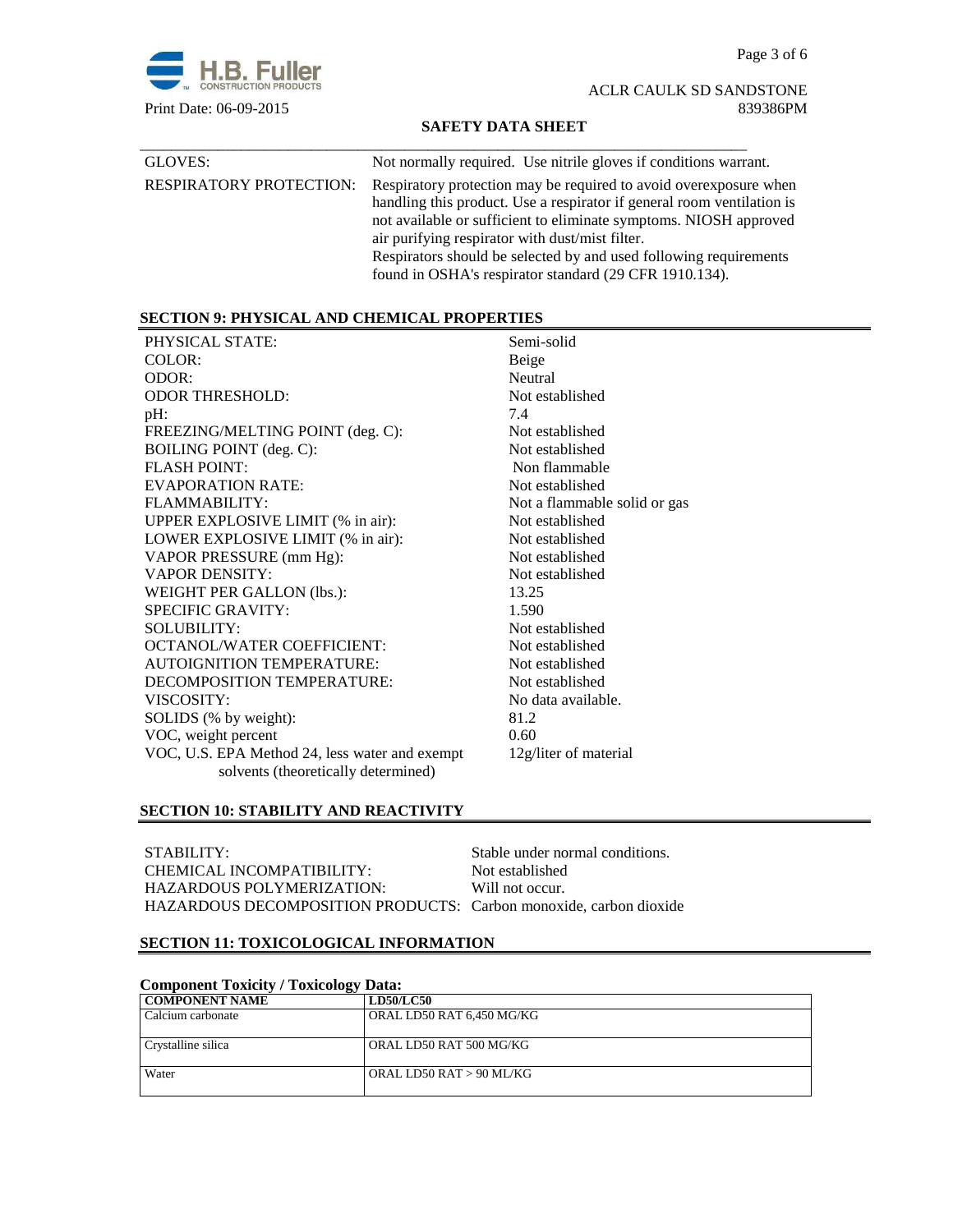Page 3 of 6



ACLR CAULK SD SANDSTONE Print Date: 06-09-2015 839386PM

# **SAFETY DATA SHEET**

| GLOVES:                        | Not normally required. Use nitrile gloves if conditions warrant.                                                                                                                                                                                                                                                                                                                                    |
|--------------------------------|-----------------------------------------------------------------------------------------------------------------------------------------------------------------------------------------------------------------------------------------------------------------------------------------------------------------------------------------------------------------------------------------------------|
| <b>RESPIRATORY PROTECTION:</b> | Respiratory protection may be required to avoid over exposure when<br>handling this product. Use a respirator if general room ventilation is<br>not available or sufficient to eliminate symptoms. NIOSH approved<br>air purifying respirator with dust/mist filter.<br>Respirators should be selected by and used following requirements<br>found in OSHA's respirator standard (29 CFR 1910.134). |

# **SECTION 9: PHYSICAL AND CHEMICAL PROPERTIES**

| PHYSICAL STATE:                                | Semi-solid                   |
|------------------------------------------------|------------------------------|
| COLOR:                                         | Beige                        |
| ODOR:                                          | Neutral                      |
| <b>ODOR THRESHOLD:</b>                         | Not established              |
| pH:                                            | 7.4                          |
| FREEZING/MELTING POINT (deg. C):               | Not established              |
| <b>BOILING POINT</b> (deg. C):                 | Not established              |
| <b>FLASH POINT:</b>                            | Non flammable                |
| EVAPORATION RATE:                              | Not established              |
| FLAMMABILITY:                                  | Not a flammable solid or gas |
| UPPER EXPLOSIVE LIMIT (% in air):              | Not established              |
| LOWER EXPLOSIVE LIMIT (% in air):              | Not established              |
| VAPOR PRESSURE (mm Hg):                        | Not established              |
| <b>VAPOR DENSITY:</b>                          | Not established              |
| WEIGHT PER GALLON (lbs.):                      | 13.25                        |
| <b>SPECIFIC GRAVITY:</b>                       | 1.590                        |
| <b>SOLUBILITY:</b>                             | Not established              |
| <b>OCTANOL/WATER COEFFICIENT:</b>              | Not established              |
| <b>AUTOIGNITION TEMPERATURE:</b>               | Not established              |
| DECOMPOSITION TEMPERATURE:                     | Not established              |
| VISCOSITY:                                     | No data available.           |
| SOLIDS (% by weight):                          | 81.2                         |
| VOC, weight percent                            | 0.60                         |
| VOC, U.S. EPA Method 24, less water and exempt | 12g/liter of material        |
| solvents (theoretically determined)            |                              |

# **SECTION 10: STABILITY AND REACTIVITY**

| STABILITY:                                                        | Stable under normal conditions. |
|-------------------------------------------------------------------|---------------------------------|
| CHEMICAL INCOMPATIBILITY:                                         | Not established                 |
| HAZARDOUS POLYMERIZATION:                                         | Will not occur.                 |
| HAZARDOUS DECOMPOSITION PRODUCTS: Carbon monoxide, carbon dioxide |                                 |

# **SECTION 11: TOXICOLOGICAL INFORMATION**

| Component Toxicity / Toxicology Data: |                           |  |
|---------------------------------------|---------------------------|--|
| <b>COMPONENT NAME</b>                 | <b>LD50/LC50</b>          |  |
| Calcium carbonate                     | ORAL LD50 RAT 6,450 MG/KG |  |
| Crystalline silica                    | ORAL LD50 RAT 500 MG/KG   |  |
| Water                                 | ORAL LD50 RAT > 90 ML/KG  |  |

# **Component Toxicity / Toxicology Data:**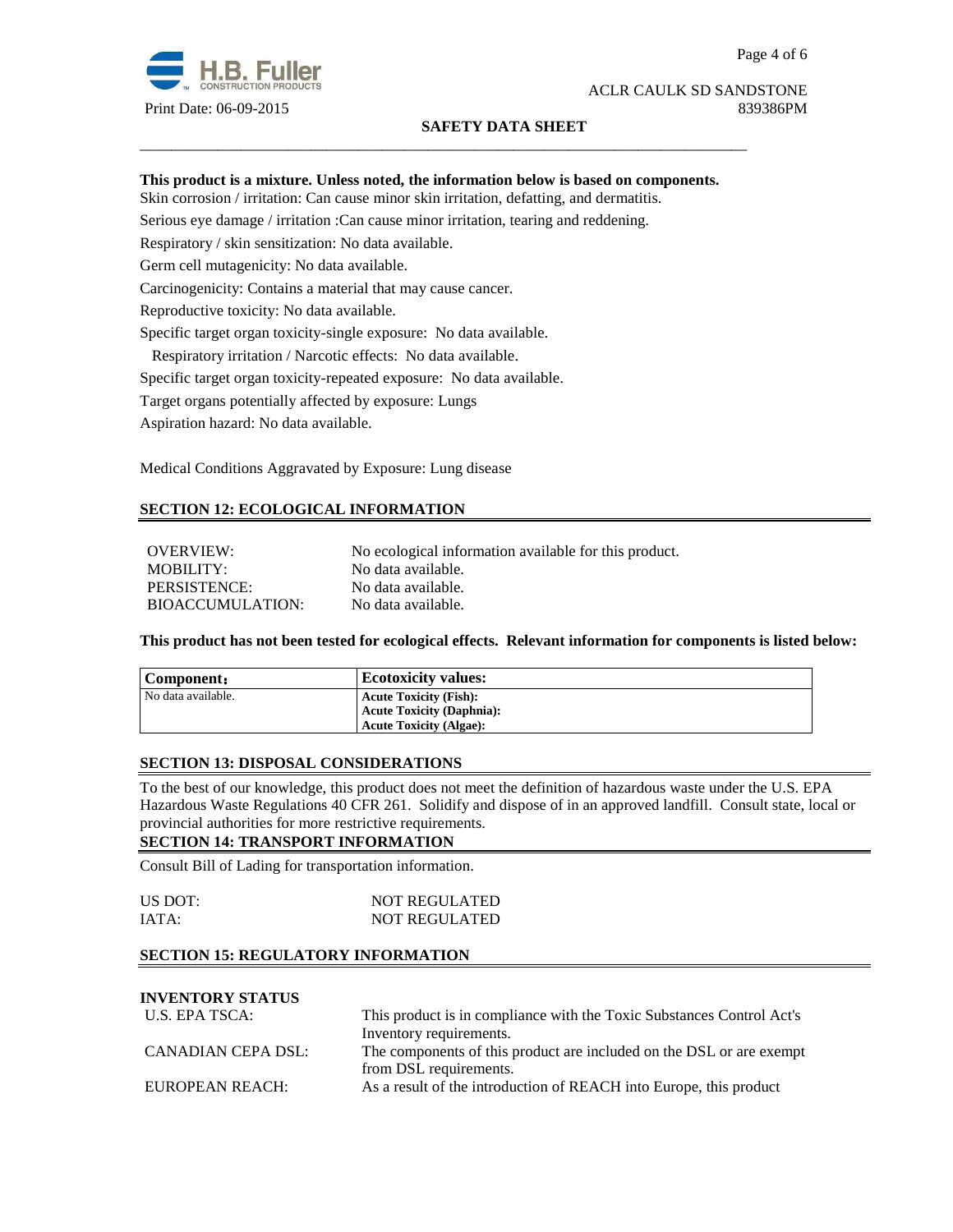

# ACLR CAULK SD SANDSTONE Print Date: 06-09-2015 839386PM

# **SAFETY DATA SHEET**

# **This product is a mixture. Unless noted, the information below is based on components.**

\_\_\_\_\_\_\_\_\_\_\_\_\_\_\_\_\_\_\_\_\_\_\_\_\_\_\_\_\_\_\_\_\_\_\_\_\_\_\_\_\_\_\_\_\_\_\_\_\_\_\_\_\_\_\_\_\_\_\_\_\_\_\_\_\_\_\_\_\_\_\_\_\_\_\_\_\_\_

Skin corrosion / irritation: Can cause minor skin irritation, defatting, and dermatitis.

Serious eye damage / irritation :Can cause minor irritation, tearing and reddening.

Respiratory / skin sensitization: No data available.

Germ cell mutagenicity: No data available.

Carcinogenicity: Contains a material that may cause cancer.

Reproductive toxicity: No data available.

Specific target organ toxicity-single exposure:No data available.

Respiratory irritation / Narcotic effects: No data available.

Specific target organ toxicity-repeated exposure:No data available.

Target organs potentially affected by exposure: Lungs

Aspiration hazard: No data available.

Medical Conditions Aggravated by Exposure: Lung disease

# **SECTION 12: ECOLOGICAL INFORMATION**

OVERVIEW: No ecological information available for this product. MOBILITY: No data available. PERSISTENCE: No data available. BIOACCUMULATION: No data available.

**This product has not been tested for ecological effects. Relevant information for components is listed below:** 

| Component:         | <b>Ecotoxicity values:</b>       |
|--------------------|----------------------------------|
| No data available. | <b>Acute Toxicity (Fish):</b>    |
|                    | <b>Acute Toxicity (Daphnia):</b> |
|                    | <b>Acute Toxicity (Algae):</b>   |

# **SECTION 13: DISPOSAL CONSIDERATIONS**

To the best of our knowledge, this product does not meet the definition of hazardous waste under the U.S. EPA Hazardous Waste Regulations 40 CFR 261. Solidify and dispose of in an approved landfill. Consult state, local or provincial authorities for more restrictive requirements.

# **SECTION 14: TRANSPORT INFORMATION**

Consult Bill of Lading for transportation information.

| US DOT: | <b>NOT REGULATED</b> |
|---------|----------------------|
| IATA:   | <b>NOT REGULATED</b> |

# **SECTION 15: REGULATORY INFORMATION**

# **INVENTORY STATUS**

| U.S. EPA TSCA:     | This product is in compliance with the Toxic Substances Control Act's |  |
|--------------------|-----------------------------------------------------------------------|--|
|                    | Inventory requirements.                                               |  |
| CANADIAN CEPA DSL: | The components of this product are included on the DSL or are exempt  |  |
|                    | from DSL requirements.                                                |  |
| EUROPEAN REACH:    | As a result of the introduction of REACH into Europe, this product    |  |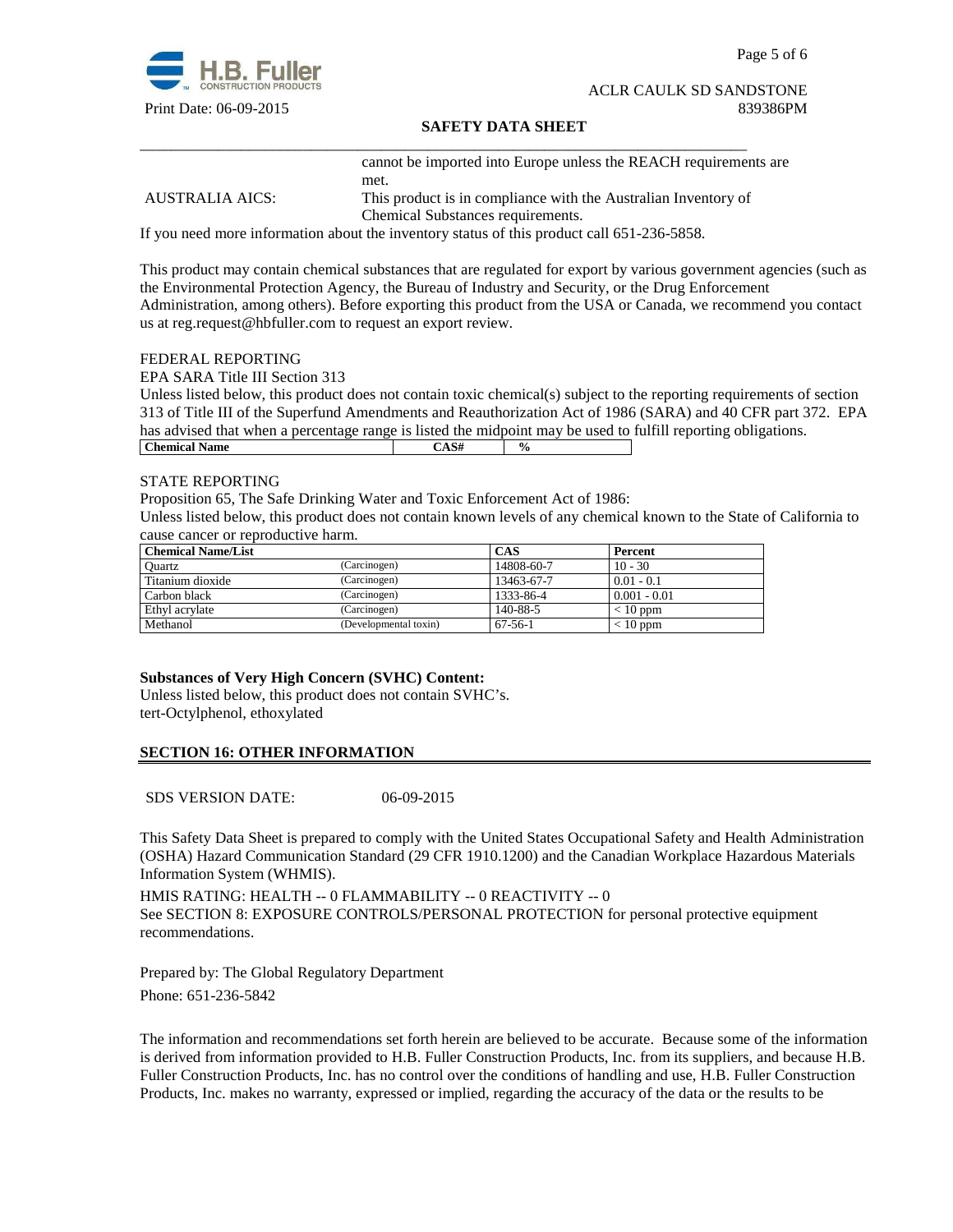

Page 5 of 6

#### ACLR CAULK SD SANDSTONE Print Date: 06-09-2015 839386PM

# **SAFETY DATA SHEET**

cannot be imported into Europe unless the REACH requirements are met.

AUSTRALIA AICS: This product is in compliance with the Australian Inventory of Chemical Substances requirements.

If you need more information about the inventory status of this product call 651-236-5858.

\_\_\_\_\_\_\_\_\_\_\_\_\_\_\_\_\_\_\_\_\_\_\_\_\_\_\_\_\_\_\_\_\_\_\_\_\_\_\_\_\_\_\_\_\_\_\_\_\_\_\_\_\_\_\_\_\_\_\_\_\_\_\_\_\_\_\_\_\_\_\_\_\_\_\_\_\_\_

This product may contain chemical substances that are regulated for export by various government agencies (such as the Environmental Protection Agency, the Bureau of Industry and Security, or the Drug Enforcement Administration, among others). Before exporting this product from the USA or Canada, we recommend you contact us at reg.request@hbfuller.com to request an export review.

#### FEDERAL REPORTING

EPA SARA Title III Section 313

Unless listed below, this product does not contain toxic chemical(s) subject to the reporting requirements of section 313 of Title III of the Superfund Amendments and Reauthorization Act of 1986 (SARA) and 40 CFR part 372. EPA has advised that when a percentage range is listed the midpoint may be used to fulfill reporting obligations. **Chemical Name**  $\qquad \qquad$   $\qquad \qquad$   $\qquad \qquad$   $\qquad \qquad$   $\qquad \qquad$   $\qquad \qquad$   $\qquad \qquad$   $\qquad \qquad$   $\qquad \qquad$   $\qquad \qquad$   $\qquad \qquad$   $\qquad \qquad$   $\qquad \qquad$   $\qquad \qquad$   $\qquad \qquad$   $\qquad \qquad$   $\qquad \qquad$   $\qquad \qquad$   $\qquad \qquad$   $\qquad \qquad$   $\qquad \qquad$   $\qquad \qquad$   $\qquad \qquad$ 

#### STATE REPORTING

Proposition 65, The Safe Drinking Water and Toxic Enforcement Act of 1986:

Unless listed below, this product does not contain known levels of any chemical known to the State of California to cause cancer or reproductive harm.

| <b>Chemical Name/List</b> |                       | CAS           | Percent        |
|---------------------------|-----------------------|---------------|----------------|
| Ouartz                    | (Carcinogen)          | 14808-60-7    | $10 - 30$      |
| Titanium dioxide          | (Carcinogen)          | 13463-67-7    | $0.01 - 0.1$   |
| Carbon black              | (Carcinogen)          | 1333-86-4     | $0.001 - 0.01$ |
| Ethyl acrylate            | (Carcinogen)          | 140-88-5      | $< 10$ ppm     |
| Methanol                  | (Developmental toxin) | $67 - 56 - 1$ | $< 10$ ppm     |

# **Substances of Very High Concern (SVHC) Content:**

Unless listed below, this product does not contain SVHC's. tert-Octylphenol, ethoxylated

# **SECTION 16: OTHER INFORMATION**

SDS VERSION DATE: 06-09-2015

This Safety Data Sheet is prepared to comply with the United States Occupational Safety and Health Administration (OSHA) Hazard Communication Standard (29 CFR 1910.1200) and the Canadian Workplace Hazardous Materials Information System (WHMIS).

HMIS RATING: HEALTH -- 0 FLAMMABILITY -- 0 REACTIVITY -- 0 See SECTION 8: EXPOSURE CONTROLS/PERSONAL PROTECTION for personal protective equipment recommendations.

Prepared by: The Global Regulatory Department Phone: 651-236-5842

The information and recommendations set forth herein are believed to be accurate. Because some of the information is derived from information provided to H.B. Fuller Construction Products, Inc. from its suppliers, and because H.B. Fuller Construction Products, Inc. has no control over the conditions of handling and use, H.B. Fuller Construction Products, Inc. makes no warranty, expressed or implied, regarding the accuracy of the data or the results to be